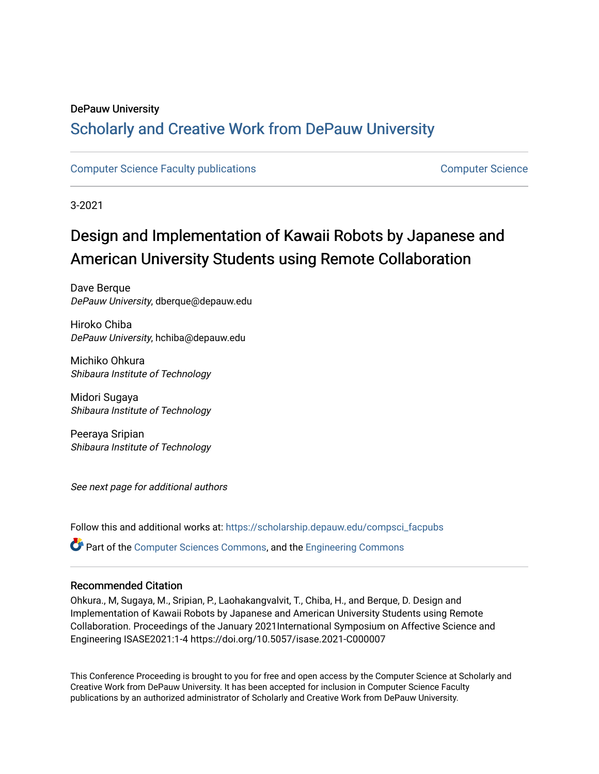## DePauw University

## Scholarly and [Creative Work from DePauw Univ](https://scholarship.depauw.edu/)ersity

## [Computer Science Faculty publications](https://scholarship.depauw.edu/compsci_facpubs) [Computer Science](https://scholarship.depauw.edu/computerscience)

3-2021

# Design and Implementation of Kawaii Robots by Japanese and American University Students using Remote Collaboration

Dave Berque DePauw University, dberque@depauw.edu

Hiroko Chiba DePauw University, hchiba@depauw.edu

Michiko Ohkura Shibaura Institute of Technology

Midori Sugaya Shibaura Institute of Technology

Peeraya Sripian Shibaura Institute of Technology

See next page for additional authors

Follow this and additional works at: [https://scholarship.depauw.edu/compsci\\_facpubs](https://scholarship.depauw.edu/compsci_facpubs?utm_source=scholarship.depauw.edu%2Fcompsci_facpubs%2F7&utm_medium=PDF&utm_campaign=PDFCoverPages) 

Part of the [Computer Sciences Commons](https://network.bepress.com/hgg/discipline/142?utm_source=scholarship.depauw.edu%2Fcompsci_facpubs%2F7&utm_medium=PDF&utm_campaign=PDFCoverPages), and the [Engineering Commons](https://network.bepress.com/hgg/discipline/217?utm_source=scholarship.depauw.edu%2Fcompsci_facpubs%2F7&utm_medium=PDF&utm_campaign=PDFCoverPages)

## Recommended Citation

Ohkura., M, Sugaya, M., Sripian, P., Laohakangvalvit, T., Chiba, H., and Berque, D. Design and Implementation of Kawaii Robots by Japanese and American University Students using Remote Collaboration. Proceedings of the January 2021International Symposium on Affective Science and Engineering ISASE2021:1-4 https://doi.org/10.5057/isase.2021-C000007

This Conference Proceeding is brought to you for free and open access by the Computer Science at Scholarly and Creative Work from DePauw University. It has been accepted for inclusion in Computer Science Faculty publications by an authorized administrator of Scholarly and Creative Work from DePauw University.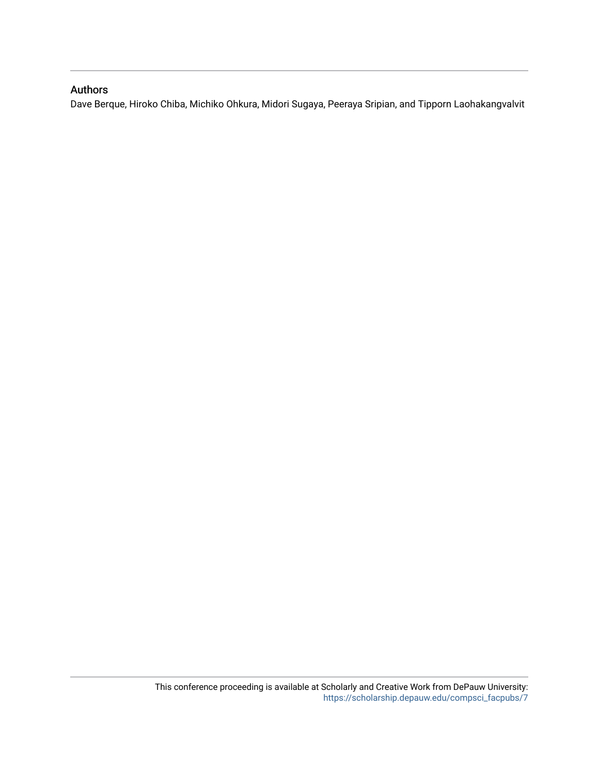## Authors

Dave Berque, Hiroko Chiba, Michiko Ohkura, Midori Sugaya, Peeraya Sripian, and Tipporn Laohakangvalvit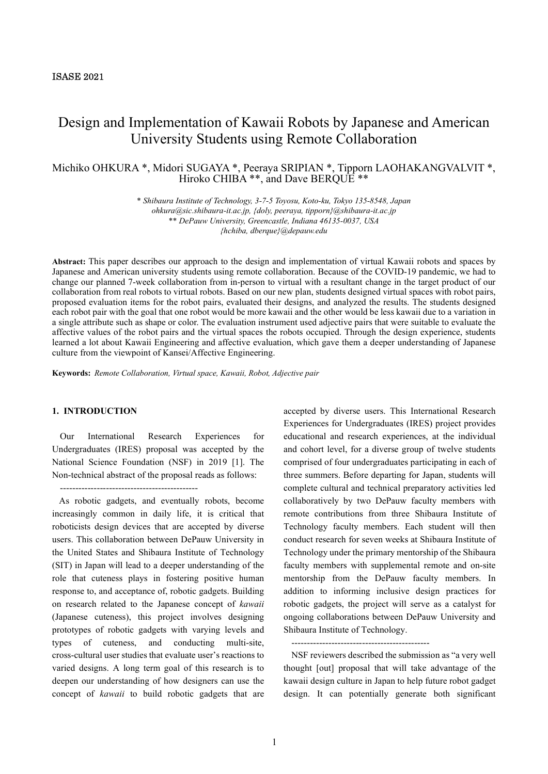## Design and Implementation of Kawaii Robots by Japanese and American University Students using Remote Collaboration

## Michiko OHKURA \*, Midori SUGAYA \*, Peeraya SRIPIAN \*, Tipporn LAOHAKANGVALVIT \*, Hiroko CHIBA \*\*, and Dave BERQUE \*\*

\* Shibaura Institute of Technology, 3-7-5 Toyosu, Koto-ku, Tokyo 135-8548, Japan ohkura@sic.shibaura-it.ac.jp, {doly, peeraya, tipporn}@shibaura-it.ac.jp \*\* DePauw University, Greencastle, Indiana 46135-0037, USA {hchiba, dberque}@depauw.edu

Abstract: This paper describes our approach to the design and implementation of virtual Kawaii robots and spaces by Japanese and American university students using remote collaboration. Because of the COVID-19 pandemic, we had to change our planned 7-week collaboration from in-person to virtual with a resultant change in the target product of our collaboration from real robots to virtual robots. Based on our new plan, students designed virtual spaces with robot pairs, proposed evaluation items for the robot pairs, evaluated their designs, and analyzed the results. The students designed each robot pair with the goal that one robot would be more kawaii and the other would be less kawaii due to a variation in a single attribute such as shape or color. The evaluation instrument used adjective pairs that were suitable to evaluate the affective values of the robot pairs and the virtual spaces the robots occupied. Through the design experience, students learned a lot about Kawaii Engineering and affective evaluation, which gave them a deeper understanding of Japanese culture from the viewpoint of Kansei/Affective Engineering.

Keywords: Remote Collaboration, Virtual space, Kawaii, Robot, Adjective pair

### 1. INTRODUCTION

Our International Research Experiences for Undergraduates (IRES) proposal was accepted by the National Science Foundation (NSF) in 2019 [1]. The Non-technical abstract of the proposal reads as follows:

---------------------------------------------

 As robotic gadgets, and eventually robots, become increasingly common in daily life, it is critical that roboticists design devices that are accepted by diverse users. This collaboration between DePauw University in the United States and Shibaura Institute of Technology (SIT) in Japan will lead to a deeper understanding of the role that cuteness plays in fostering positive human response to, and acceptance of, robotic gadgets. Building on research related to the Japanese concept of kawaii (Japanese cuteness), this project involves designing prototypes of robotic gadgets with varying levels and types of cuteness, and conducting multi-site, cross-cultural user studies that evaluate user's reactions to varied designs. A long term goal of this research is to deepen our understanding of how designers can use the concept of kawaii to build robotic gadgets that are

accepted by diverse users. This International Research Experiences for Undergraduates (IRES) project provides educational and research experiences, at the individual and cohort level, for a diverse group of twelve students comprised of four undergraduates participating in each of three summers. Before departing for Japan, students will complete cultural and technical preparatory activities led collaboratively by two DePauw faculty members with remote contributions from three Shibaura Institute of Technology faculty members. Each student will then conduct research for seven weeks at Shibaura Institute of Technology under the primary mentorship of the Shibaura faculty members with supplemental remote and on-site mentorship from the DePauw faculty members. In addition to informing inclusive design practices for robotic gadgets, the project will serve as a catalyst for ongoing collaborations between DePauw University and Shibaura Institute of Technology.

---------------------------------------------

NSF reviewers described the submission as "a very well thought [out] proposal that will take advantage of the kawaii design culture in Japan to help future robot gadget design. It can potentially generate both significant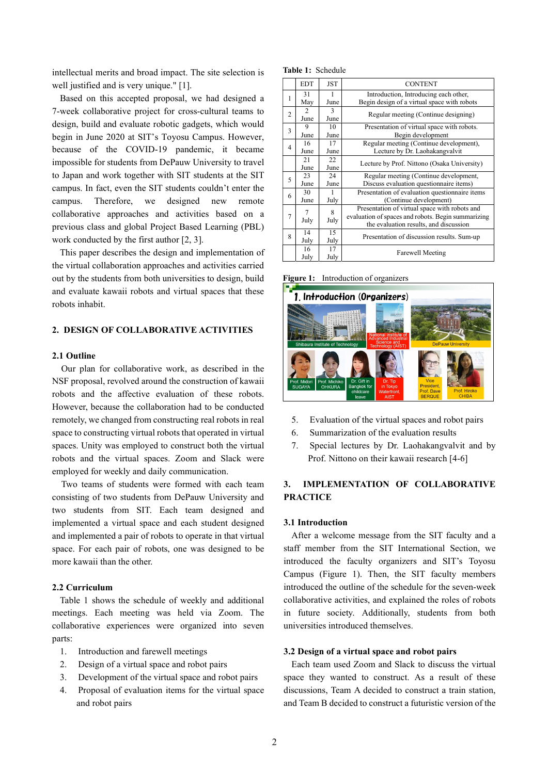intellectual merits and broad impact. The site selection is well justified and is very unique." [1].

Based on this accepted proposal, we had designed a 7-week collaborative project for cross-cultural teams to design, build and evaluate robotic gadgets, which would begin in June 2020 at SIT's Toyosu Campus. However, because of the COVID-19 pandemic, it became impossible for students from DePauw University to travel to Japan and work together with SIT students at the SIT campus. In fact, even the SIT students couldn't enter the campus. Therefore, we designed new remote collaborative approaches and activities based on a previous class and global Project Based Learning (PBL) work conducted by the first author [2, 3].

This paper describes the design and implementation of the virtual collaboration approaches and activities carried out by the students from both universities to design, build and evaluate kawaii robots and virtual spaces that these robots inhabit.

### 2. DESIGN OF COLLABORATIVE ACTIVITIES

#### 2.1 Outline

Our plan for collaborative work, as described in the NSF proposal, revolved around the construction of kawaii robots and the affective evaluation of these robots. However, because the collaboration had to be conducted remotely, we changed from constructing real robots in real space to constructing virtual robots that operated in virtual spaces. Unity was employed to construct both the virtual robots and the virtual spaces. Zoom and Slack were employed for weekly and daily communication.

Two teams of students were formed with each team consisting of two students from DePauw University and two students from SIT. Each team designed and implemented a virtual space and each student designed and implemented a pair of robots to operate in that virtual space. For each pair of robots, one was designed to be more kawaii than the other.

## 2.2 Curriculum

Table 1 shows the schedule of weekly and additional meetings. Each meeting was held via Zoom. The collaborative experiences were organized into seven parts:

- 1. Introduction and farewell meetings
- 2. Design of a virtual space and robot pairs
- 3. Development of the virtual space and robot pairs
- 4. Proposal of evaluation items for the virtual space and robot pairs

Table 1: Schedule

|   | <b>EDT</b>                          | <b>JST</b>           | <b>CONTENT</b>                                                                                                                                |  |
|---|-------------------------------------|----------------------|-----------------------------------------------------------------------------------------------------------------------------------------------|--|
| 1 | 31<br>May                           | June                 | Introduction, Introducing each other,<br>Begin design of a virtual space with robots                                                          |  |
| 2 | $\mathcal{D}_{\mathcal{A}}$<br>June | 3<br>June            | Regular meeting (Continue designing)                                                                                                          |  |
| 3 | 9<br>June                           | 10<br>June           | Presentation of virtual space with robots.<br>Begin development                                                                               |  |
| 4 | 16<br>June                          | 17<br>June           | Regular meeting (Continue development),<br>Lecture by Dr. Laohakangvalvit                                                                     |  |
|   | 21<br>June                          | 22<br>June           | Lecture by Prof. Nittono (Osaka University)                                                                                                   |  |
| 5 | 23<br>June                          | 24<br>June           | Regular meeting (Continue development,<br>Discuss evaluation questionnaire items)                                                             |  |
| 6 | 30<br>June                          | July                 | Presentation of evaluation questionnaire items<br>(Continue development)                                                                      |  |
| 7 | 7<br>July                           | $\mathbf{8}$<br>July | Presentation of virtual space with robots and<br>evaluation of spaces and robots. Begin summarizing<br>the evaluation results, and discussion |  |
| 8 | 14<br>July                          | 15<br>July           | Presentation of discussion results. Sum-up                                                                                                    |  |
|   | 16<br>July                          | 17<br>July           | Farewell Meeting                                                                                                                              |  |

Figure 1: Introduction of organizers



- 5. Evaluation of the virtual spaces and robot pairs
- 6. Summarization of the evaluation results
- 7. Special lectures by Dr. Laohakangvalvit and by Prof. Nittono on their kawaii research [4-6]

## 3. IMPLEMENTATION OF COLLABORATIVE **PRACTICE**

#### 3.1 Introduction

After a welcome message from the SIT faculty and a staff member from the SIT International Section, we introduced the faculty organizers and SIT's Toyosu Campus (Figure 1). Then, the SIT faculty members introduced the outline of the schedule for the seven-week collaborative activities, and explained the roles of robots in future society. Additionally, students from both universities introduced themselves.

#### 3.2 Design of a virtual space and robot pairs

Each team used Zoom and Slack to discuss the virtual space they wanted to construct. As a result of these discussions, Team A decided to construct a train station, and Team B decided to construct a futuristic version of the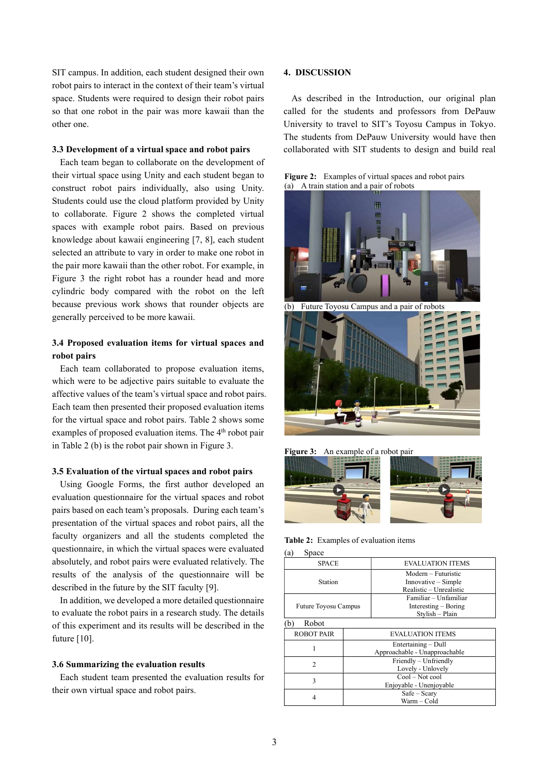SIT campus. In addition, each student designed their own robot pairs to interact in the context of their team's virtual space. Students were required to design their robot pairs so that one robot in the pair was more kawaii than the other one.

#### 3.3 Development of a virtual space and robot pairs

Each team began to collaborate on the development of their virtual space using Unity and each student began to construct robot pairs individually, also using Unity. Students could use the cloud platform provided by Unity to collaborate. Figure 2 shows the completed virtual spaces with example robot pairs. Based on previous knowledge about kawaii engineering [7, 8], each student selected an attribute to vary in order to make one robot in the pair more kawaii than the other robot. For example, in Figure 3 the right robot has a rounder head and more cylindric body compared with the robot on the left because previous work shows that rounder objects are generally perceived to be more kawaii.

## 3.4 Proposed evaluation items for virtual spaces and robot pairs

Each team collaborated to propose evaluation items, which were to be adjective pairs suitable to evaluate the affective values of the team's virtual space and robot pairs. Each team then presented their proposed evaluation items for the virtual space and robot pairs. Table 2 shows some examples of proposed evaluation items. The 4<sup>th</sup> robot pair in Table 2 (b) is the robot pair shown in Figure 3.

#### 3.5 Evaluation of the virtual spaces and robot pairs

Using Google Forms, the first author developed an evaluation questionnaire for the virtual spaces and robot pairs based on each team's proposals. During each team's presentation of the virtual spaces and robot pairs, all the faculty organizers and all the students completed the questionnaire, in which the virtual spaces were evaluated absolutely, and robot pairs were evaluated relatively. The results of the analysis of the questionnaire will be described in the future by the SIT faculty [9].

In addition, we developed a more detailed questionnaire to evaluate the robot pairs in a research study. The details of this experiment and its results will be described in the future [10].

#### 3.6 Summarizing the evaluation results

Each student team presented the evaluation results for their own virtual space and robot pairs.

#### 4. DISCUSSION

As described in the Introduction, our original plan called for the students and professors from DePauw University to travel to SIT's Toyosu Campus in Tokyo. The students from DePauw University would have then collaborated with SIT students to design and build real

Figure 2: Examples of virtual spaces and robot pairs (a) A train station and a pair of robots



Figure 3: An example of a robot pair



Table 2: Examples of evaluation items

(a) Space

| <b>SPACE</b>                |  | <b>EVALUATION ITEMS</b>                                               |  |  |  |
|-----------------------------|--|-----------------------------------------------------------------------|--|--|--|
| Station                     |  | Modern – Futuristic<br>$Innovative-Simple$<br>Realistic - Unrealistic |  |  |  |
| <b>Future Toyosu Campus</b> |  | Familiar - Unfamiliar<br>$Interesting - Boring$<br>Stylish - Plain    |  |  |  |
| Robot<br>(b                 |  |                                                                       |  |  |  |
| ROBOT PAIR                  |  | <b>EVALUATION ITEMS</b>                                               |  |  |  |
|                             |  | Entertaining - Dull<br>Approachable - Unapproachable                  |  |  |  |
| $\mathfrak{D}$              |  | Friendly - Unfriendly<br>Lovely - Unlovely                            |  |  |  |
| 3                           |  | $Cool-Not$ cool<br>Enjoyable - Unenjoyable                            |  |  |  |
| 4                           |  | $Safe - Security$<br>Warm - Cold                                      |  |  |  |
|                             |  |                                                                       |  |  |  |